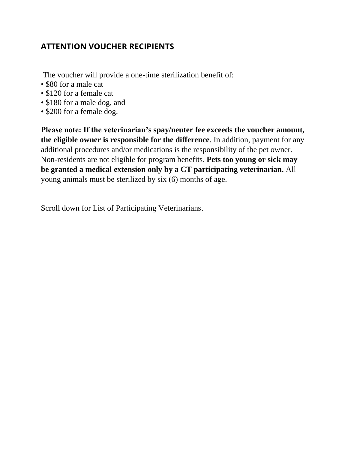## **ATTENTION VOUCHER RECIPIENTS**

- The voucher will provide a one-time sterilization benefit of:
- \$80 for a male cat
- \$120 for a female cat
- \$180 for a male dog, and
- \$200 for a female dog.

**Please note: If the veterinarian's spay/neuter fee exceeds the voucher amount, the eligible owner is responsible for the difference**. In addition, payment for any additional procedures and/or medications is the responsibility of the pet owner. Non-residents are not eligible for program benefits. **Pets too young or sick may be granted a medical extension only by a CT participating veterinarian.** All young animals must be sterilized by six (6) months of age.

Scroll down for List of Participating Veterinarians.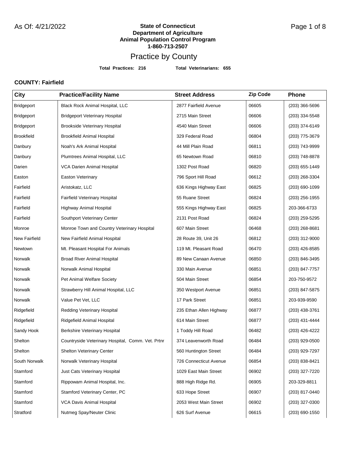**Total Practices: 216 Total Veterinarians: 655**

### **COUNTY: Fairfield**

| City                 | <b>Practice/Facility Name</b>                     | <b>Street Address</b>   | Zip Code | <b>Phone</b>     |
|----------------------|---------------------------------------------------|-------------------------|----------|------------------|
| Bridgeport           | Black Rock Animal Hospital, LLC                   | 2877 Fairfield Avenue   | 06605    | $(203)$ 366-5696 |
| Bridgeport           | <b>Bridgeport Veterinary Hospital</b>             | 2715 Main Street        | 06606    | (203) 334-5548   |
| Bridgeport           | <b>Brookside Veterinary Hospital</b>              | 4540 Main Street        | 06606    | (203) 374-6149   |
| <b>Brookfield</b>    | <b>Brookfield Animal Hospital</b>                 | 329 Federal Road        | 06804    | (203) 775-3679   |
| Danbury              | Noah's Ark Animal Hospital                        | 44 Mill Plain Road      | 06811    | (203) 743-9999   |
| Danbury              | Plumtrees Animal Hospital, LLC                    | 65 Newtown Road         | 06810    | (203) 748-8878   |
| Darien               | <b>VCA Darien Animal Hospital</b>                 | 1302 Post Road          | 06820    | (203) 655-1449   |
| Easton               | Easton Veterinary                                 | 796 Sport Hill Road     | 06612    | (203) 268-3304   |
| Fairfield            | Aristokatz, LLC                                   | 636 Kings Highway East  | 06825    | (203) 690-1099   |
| Fairfield            | Fairfield Veterinary Hospital                     | 55 Ruane Street         | 06824    | (203) 256-1955   |
| Fairfield            | Highway Animal Hospital                           | 555 Kings Highway East  | 06825    | 203-366-6733     |
| Fairfield            | Southport Veterinary Center                       | 2131 Post Road          | 06824    | (203) 259-5295   |
| Monroe               | Monroe Town and Country Veterinary Hospital       | 607 Main Street         | 06468    | $(203)$ 268-8681 |
| <b>New Fairfield</b> | New Fairfield Animal Hospital                     | 28 Route 39, Unit 26    | 06812    | (203) 312-9000   |
| Newtown              | Mt. Pleasant Hospital For Animals                 | 119 Mt. Pleasant Road   | 06470    | (203) 426-8585   |
| Norwalk              | <b>Broad River Animal Hospital</b>                | 89 New Canaan Avenue    | 06850    | (203) 846-3495   |
| Norwalk              | Norwalk Animal Hospital                           | 330 Main Avenue         | 06851    | (203) 847-7757   |
| Norwalk              | Pet Animal Welfare Society                        | 504 Main Street         | 06854    | 203-750-9572     |
| Norwalk              | Strawberry Hill Animal Hospital, LLC              | 350 Westport Avenue     | 06851    | (203) 847-5875   |
| Norwalk              | Value Pet Vet, LLC                                | 17 Park Street          | 06851    | 203-939-9590     |
| Ridgefield           | Redding Veterinary Hospital                       | 235 Ethan Allen Highway | 06877    | (203) 438-3761   |
| Ridgefield           | Ridgefield Animal Hospital                        | 614 Main Street         | 06877    | (203) 431-4444   |
| Sandy Hook           | Berkshire Veterinary Hospital                     | 1 Toddy Hill Road       | 06482    | (203) 426-4222   |
| Shelton              | Countryside Veterinary Hospital, Comm. Vet. Prtnr | 374 Leavenworth Road    | 06484    | (203) 929-0500   |
| Shelton              | <b>Shelton Veterinary Center</b>                  | 560 Huntington Street   | 06484    | (203) 929-7297   |
| South Norwalk        | Norwalk Veterinary Hospital                       | 726 Connecticut Avenue  | 06854    | (203) 838-8421   |
| Stamford             | Just Cats Veterinary Hospital                     | 1029 East Main Street   | 06902    | (203) 327-7220   |
| Stamford             | Rippowam Animal Hospital, Inc.                    | 888 High Ridge Rd.      | 06905    | 203-329-8811     |
| Stamford             | Stamford Veterinary Center, PC                    | 633 Hope Street         | 06907    | (203) 817-0440   |
| Stamford             | VCA Davis Animal Hospital                         | 2053 West Main Street   | 06902    | (203) 327-0300   |
| Stratford            | Nutmeg Spay/Neuter Clinic                         | 626 Surf Avenue         | 06615    | $(203)$ 690-1550 |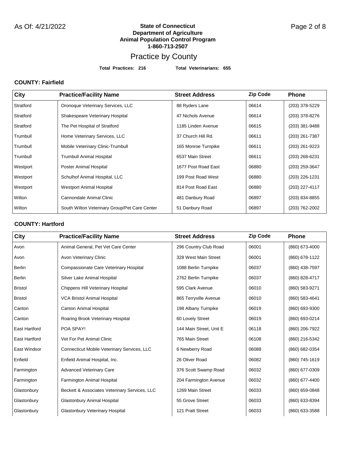#### **State of Connecticut** As Of: 4/21/2022 Page 2 of 8 **Department of Agriculture Animal Population Control Program 1-860-713-2507**

## Practice by County

**Total Practices: 216 Total Veterinarians: 655**

### **COUNTY: Fairfield**

| <b>City</b> | <b>Practice/Facility Name</b>                 | <b>Street Address</b> | <b>Zip Code</b> | <b>Phone</b>   |
|-------------|-----------------------------------------------|-----------------------|-----------------|----------------|
| Stratford   | Oronoque Veterinary Services, LLC             | 88 Ryders Lane        | 06614           | (203) 378-5229 |
| Stratford   | Shakespeare Veterinary Hospital               | 47 Nichols Avenue     | 06614           | (203) 378-8276 |
| Stratford   | The Pet Hospital of Stratford                 | 1185 Linden Avenue    | 06615           | (203) 381-9488 |
| Trumbull    | Home Veterinary Services, LLC                 | 37 Church Hill Rd.    | 06611           | (203) 261-7387 |
| Trumbull    | Mobile Veterinary Clinic-Trumbull             | 165 Monroe Turnpike   | 06611           | (203) 261-9223 |
| Trumbull    | <b>Trumbull Animal Hospital</b>               | 6537 Main Street      | 06611           | (203) 268-6231 |
| Westport    | Poster Animal Hospital                        | 1677 Post Road East   | 06880           | (203) 259-3647 |
| Westport    | Schulhof Animal Hospital, LLC                 | 199 Post Road West    | 06880           | (203) 226-1231 |
| Westport    | <b>Westport Animal Hospital</b>               | 814 Post Road East    | 06880           | (203) 227-4117 |
| Wilton      | Cannondale Animal Clinic                      | 481 Danbury Road      | 06897           | (203) 834-8855 |
| Wilton      | South Wilton Veterinary Group/Pet Care Center | 51 Danbury Road       | 06897           | (203) 762-2002 |

### **COUNTY: Hartford**

| City                 | <b>Practice/Facility Name</b>                      | <b>Street Address</b>   | <b>Zip Code</b> | <b>Phone</b>   |
|----------------------|----------------------------------------------------|-------------------------|-----------------|----------------|
| Avon                 | Animal General, Pet Vet Care Center                | 296 Country Club Road   | 06001           | (860) 673-4000 |
| Avon                 | Avon Veterinary Clinic                             | 328 West Main Street    | 06001           | (860) 678-1122 |
| <b>Berlin</b>        | Compassionate Care Veterinary Hospital             | 1088 Berlin Turnpike    | 06037           | (860) 438-7597 |
| <b>Berlin</b>        | Silver Lake Animal Hospital                        | 2762 Berlin Turnpike    | 06037           | (860) 828-4717 |
| <b>Bristol</b>       | <b>Chippens Hill Veterinary Hospital</b>           | 595 Clark Avenue        | 06010           | (860) 583-9271 |
| <b>Bristol</b>       | <b>VCA Bristol Animal Hospital</b>                 | 865 Terryville Avenue   | 06010           | (860) 583-4641 |
| Canton               | <b>Canton Animal Hospital</b>                      | 198 Albany Turnpike     | 06019           | (860) 693-9300 |
| Canton               | Roaring Brook Veterinary Hospital                  | 60 Lovely Street        | 06019           | (860) 693-0214 |
| <b>East Hartford</b> | POA SPAY!                                          | 144 Main Street, Unit E | 06118           | (860) 206-7922 |
| <b>East Hartford</b> | Vet For Pet Animal Clinic                          | 765 Main Street         | 06108           | (860) 216-5342 |
| East Windsor         | <b>Connecticut Mobile Veterinary Services, LLC</b> | 6 Newberry Road         | 06088           | (860) 682-0354 |
| Enfield              | Enfield Animal Hospital, Inc.                      | 26 Oliver Road          | 06082           | (860) 745-1619 |
| Farmington           | <b>Advanced Veterinary Care</b>                    | 376 Scott Swamp Road    | 06032           | (860) 677-0309 |
| Farmington           | <b>Farmington Animal Hospital</b>                  | 204 Farmington Avenue   | 06032           | (860) 677-4400 |
| Glastonbury          | Beckett & Associates Veterinary Services, LLC      | 1269 Main Street        | 06033           | (860) 659-0848 |
| Glastonbury          | <b>Glastonbury Animal Hospital</b>                 | 55 Grove Street         | 06033           | (860) 633-8394 |
| Glastonbury          | <b>Glastonbury Veterinary Hospital</b>             | 121 Pratt Street        | 06033           | (860) 633-3588 |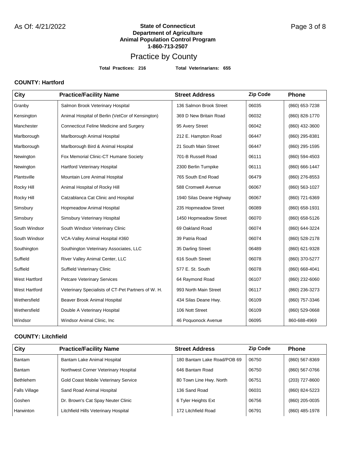**Total Practices: 216 Total Veterinarians: 655**

### **COUNTY: Hartford**

| City                 | <b>Practice/Facility Name</b>                      | <b>Street Address</b>    | <b>Zip Code</b> | Phone          |
|----------------------|----------------------------------------------------|--------------------------|-----------------|----------------|
| Granby               | Salmon Brook Veterinary Hospital                   | 136 Salmon Brook Street  | 06035           | (860) 653-7238 |
| Kensington           | Animal Hospital of Berlin (VetCor of Kensington)   | 369 D New Britain Road   | 06032           | (860) 828-1770 |
| Manchester           | <b>Connecticut Feline Medicine and Surgery</b>     | 95 Avery Street          | 06042           | (860) 432-3600 |
| Marlborough          | Marlborough Animal Hospital                        | 212 E. Hampton Road      | 06447           | (860) 295-8381 |
| Marlborough          | Marlborough Bird & Animal Hospital                 | 21 South Main Street     | 06447           | (860) 295-1595 |
| Newington            | Fox Memorial Clinic-CT Humane Society              | 701-B Russell Road       | 06111           | (860) 594-4503 |
| Newington            | Hartford Veterinary Hospital                       | 2300 Berlin Turnpike     | 06111           | (860) 666-1447 |
| Plantsville          | Mountain Lore Animal Hospital                      | 765 South End Road       | 06479           | (860) 276-8553 |
| Rocky Hill           | Animal Hospital of Rocky Hill                      | 588 Cromwell Avenue      | 06067           | (860) 563-1027 |
| Rocky Hill           | Catzablanca Cat Clinic and Hospital                | 1940 Silas Deane Highway | 06067           | (860) 721-6369 |
| Simsbury             | Hopmeadow Animal Hospital                          | 235 Hopmeadow Street     | 06089           | (860) 658-1931 |
| Simsbury             | <b>Simsbury Veterinary Hospital</b>                | 1450 Hopmeadow Street    | 06070           | (860) 658-5126 |
| South Windsor        | South Windsor Veterinary Clinic                    | 69 Oakland Road          | 06074           | (860) 644-3224 |
| South Windsor        | VCA-Valley Animal Hospital #360                    | 39 Patria Road           | 06074           | (860) 528-2178 |
| Southington          | Southington Veterinary Associates, LLC             | 35 Darling Street        | 06489           | (860) 621-9328 |
| Suffield             | River Valley Animal Center, LLC                    | 616 South Street         | 06078           | (860) 370-5277 |
| Suffield             | Suffield Veterinary Clinic                         | 577 E. St. South         | 06078           | (860) 668-4041 |
| West Hartford        | <b>Petcare Veterinary Services</b>                 | 64 Raymond Road          | 06107           | (860) 232-6060 |
| <b>West Hartford</b> | Veterinary Specialists of CT-Pet Partners of W. H. | 993 North Main Street    | 06117           | (860) 236-3273 |
| Wethersfield         | Beaver Brook Animal Hospital                       | 434 Silas Deane Hwy.     | 06109           | (860) 757-3346 |
| Wethersfield         | Double A Veterinary Hospital                       | 106 Nott Street          | 06109           | (860) 529-0668 |
| Windsor              | Windsor Animal Clinic, Inc.                        | 46 Poquonock Avenue      | 06095           | 860-688-4969   |

#### **COUNTY: Litchfield**

| City                 | <b>Practice/Facility Name</b>               | <b>Street Address</b>       | <b>Zip Code</b> | <b>Phone</b>   |
|----------------------|---------------------------------------------|-----------------------------|-----------------|----------------|
| <b>Bantam</b>        | Bantam Lake Animal Hospital                 | 180 Bantam Lake Road/POB 69 | 06750           | (860) 567-8369 |
| <b>Bantam</b>        | Northwest Corner Veterinary Hospital        | 646 Bantam Road             | 06750           | (860) 567-0766 |
| <b>Bethlehem</b>     | <b>Gold Coast Mobile Veterinary Service</b> | 80 Town Line Hwy. North     | 06751           | (203) 727-8600 |
| <b>Falls Village</b> | Sand Road Animal Hospital                   | 136 Sand Road               | 06031           | (860) 824-5223 |
| Goshen               | Dr. Brown's Cat Spay Neuter Clinic          | 6 Tyler Heights Ext         | 06756           | (860) 205-0035 |
| Harwinton            | Litchfield Hills Veterinary Hospital        | 172 Litchfield Road         | 06791           | (860) 485-1978 |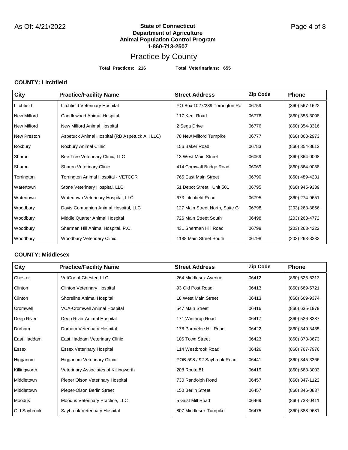#### **State of Connecticut Department of Agriculture Animal Population Control Program 1-860-713-2507** As Of: 4/21/2022 **Page 4 of State of Connecticut** As Of: 4/21/2022

## Practice by County

**Total Practices: 216 Total Veterinarians: 655**

### **COUNTY: Litchfield**

| City               | <b>Practice/Facility Name</b>                 | <b>Street Address</b>          | <b>Zip Code</b> | <b>Phone</b>     |
|--------------------|-----------------------------------------------|--------------------------------|-----------------|------------------|
| Litchfield         | Litchfield Veterinary Hospital                | PO Box 1027/289 Torrington Ro  | 06759           | (860) 567-1622   |
| <b>New Milford</b> | Candlewood Animal Hospital                    | 117 Kent Road                  | 06776           | (860) 355-3008   |
| <b>New Milford</b> | New Milford Animal Hospital                   | 2 Sega Drive                   | 06776           | (860) 354-3316   |
| New Preston        | Aspetuck Animal Hospital (RB Aspetuck AH LLC) | 78 New Milford Turnpike        | 06777           | (860) 868-2973   |
| Roxbury            | Roxbury Animal Clinic                         | 156 Baker Road                 | 06783           | (860) 354-8612   |
| Sharon             | Bee Tree Veterinary Clinic, LLC               | 13 West Main Street            | 06069           | $(860)$ 364-0008 |
| Sharon             | Sharon Veterinary Clinic                      | 414 Cornwall Bridge Road       | 06069           | (860) 364-0058   |
| Torrington         | Torrington Animal Hospital - VETCOR           | 765 East Main Street           | 06790           | (860) 489-4231   |
| Watertown          | Stone Veterinary Hospital, LLC                | 51 Depot Street Unit 501       | 06795           | (860) 945-9339   |
| Watertown          | Watertown Veterinary Hospital, LLC            | 673 Litchfield Road            | 06795           | (860) 274-9651   |
| Woodbury           | Davis Companion Animal Hospital, LLC          | 127 Main Street North, Suite G | 06798           | (203) 263-8866   |
| Woodbury           | Middle Quarter Animal Hospital                | 726 Main Street South          | 06498           | (203) 263-4772   |
| Woodbury           | Sherman Hill Animal Hospital, P.C.            | 431 Sherman Hill Road          | 06798           | (203) 263-4222   |
| Woodbury           | <b>Woodbury Veterinary Clinic</b>             | 1188 Main Street South         | 06798           | (203) 263-3232   |

#### **COUNTY: Middlesex**

| <b>City</b>  | <b>Practice/Facility Name</b>         | <b>Street Address</b>      | <b>Zip Code</b> | <b>Phone</b>     |
|--------------|---------------------------------------|----------------------------|-----------------|------------------|
| Chester      | VetCor of Chester, LLC                | 264 Middlesex Avenue       | 06412           | (860) 526-5313   |
| Clinton      | <b>Clinton Veterinary Hospital</b>    | 93 Old Post Road           | 06413           | (860) 669-5721   |
| Clinton      | Shoreline Animal Hospital             | 18 West Main Street        | 06413           | (860) 669-9374   |
| Cromwell     | <b>VCA-Cromwell Animal Hospital</b>   | 547 Main Street            | 06416           | (860) 635-1979   |
| Deep River   | Deep River Animal Hospital            | 171 Winthrop Road          | 06417           | (860) 526-8387   |
| Durham       | Durham Veterinary Hospital            | 178 Parmelee Hill Road     | 06422           | (860) 349-3485   |
| East Haddam  | East Haddam Veterinary Clinic         | 105 Town Street            | 06423           | (860) 873-8673   |
| Essex        | <b>Essex Veterinary Hospital</b>      | 114 Westbrook Road         | 06426           | (860) 767-7976   |
| Higganum     | Higganum Veterinary Clinic            | POB 598 / 92 Saybrook Road | 06441           | (860) 345-3366   |
| Killingworth | Veterinary Associates of Killingworth | 208 Route 81               | 06419           | $(860)$ 663-3003 |
| Middletown   | Pieper Olson Veterinary Hospital      | 730 Randolph Road          | 06457           | (860) 347-1122   |
| Middletown   | Pieper-Olson Berlin Street            | 150 Berlin Street          | 06457           | (860) 346-0837   |
| Moodus       | Moodus Veterinary Practice, LLC       | 5 Grist Mill Road          | 06469           | (860) 733-0411   |
| Old Saybrook | Saybrook Veterinary Hospital          | 807 Middlesex Turnpike     | 06475           | (860) 388-9681   |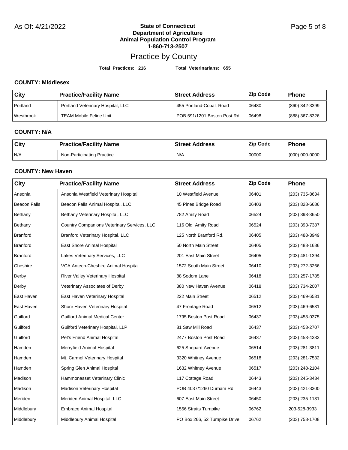#### **State of Connecticut** As Of: 4/21/2022 Page 5 of 8 **Department of Agriculture Animal Population Control Program 1-860-713-2507**

## Practice by County

**Total Practices: 216 Total Veterinarians: 655**

### **COUNTY: Middlesex**

| <b>City</b>      | <b>Practice/Facility Name</b>     | <b>Street Address</b>        | <b>Zip Code</b> | <b>Phone</b>   |
|------------------|-----------------------------------|------------------------------|-----------------|----------------|
| Portland         | Portland Veterinary Hospital, LLC | 455 Portland-Cobalt Road     | 06480           | (860) 342-3399 |
| <b>Westbrook</b> | <b>TEAM Mobile Feline Unit</b>    | POB 591/1201 Boston Post Rd. | 06498           | (888) 367-8326 |

#### **COUNTY: N/A**

| City | <b>Practice/Facility Name</b> | <b>Street Address</b> | <b>Zip Code</b> | <b>Phone</b>     |
|------|-------------------------------|-----------------------|-----------------|------------------|
| N/A  | Non-Participating Practice    | N/A                   | 00000           | $(000)$ 000-0000 |

### **COUNTY: New Haven**

| City                | <b>Practice/Facility Name</b>               | <b>Street Address</b>         | <b>Zip Code</b> | Phone            |
|---------------------|---------------------------------------------|-------------------------------|-----------------|------------------|
| Ansonia             | Ansonia Westfield Veterinary Hospital       | 10 Westfield Avenue           | 06401           | (203) 735-8634   |
| <b>Beacon Falls</b> | Beacon Falls Animal Hospital, LLC           | 45 Pines Bridge Road          | 06403           | (203) 828-6686   |
| Bethany             | Bethany Veterinary Hospital, LLC            | 782 Amity Road                | 06524           | (203) 393-3650   |
| Bethany             | Country Companions Veterinary Services, LLC | 116 Old Amity Road            | 06524           | (203) 393-7387   |
| <b>Branford</b>     | Branford Veterinary Hospital, LLC           | 125 North Branford Rd.        | 06405           | (203) 488-3949   |
| <b>Branford</b>     | East Shore Animal Hospital                  | 50 North Main Street          | 06405           | $(203)$ 488-1686 |
| <b>Branford</b>     | Lakes Veterinary Services, LLC              | 201 East Main Street          | 06405           | (203) 481-1394   |
| Cheshire            | VCA Antech-Cheshire Animal Hospital         | 1572 South Main Street        | 06410           | (203) 272-3266   |
| Derby               | River Valley Veterinary Hospital            | 88 Sodom Lane                 | 06418           | (203) 257-1785   |
| Derby               | Veterinary Associates of Derby              | 380 New Haven Avenue          | 06418           | (203) 734-2007   |
| East Haven          | East Haven Veterinary Hospital              | 222 Main Street               | 06512           | (203) 469-6531   |
| East Haven          | Shore Haven Veterinary Hospital             | 47 Frontage Road              | 06512           | (203) 469-6531   |
| Guilford            | <b>Guilford Animal Medical Center</b>       | 1795 Boston Post Road         | 06437           | (203) 453-0375   |
| Guilford            | Guilford Veterinary Hospital, LLP           | 81 Saw Mill Road              | 06437           | (203) 453-2707   |
| Guilford            | Pet's Friend Animal Hospital                | 2477 Boston Post Road         | 06437           | $(203)$ 453-4333 |
| Hamden              | Merryfield Animal Hospital                  | 625 Shepard Avenue            | 06514           | (203) 281-3811   |
| Hamden              | Mt. Carmel Veterinary Hospital              | 3320 Whitney Avenue           | 06518           | (203) 281-7532   |
| Hamden              | Spring Glen Animal Hospital                 | 1632 Whitney Avenue           | 06517           | (203) 248-2104   |
| Madison             | Hammonasset Veterinary Clinic               | 117 Cottage Road              | 06443           | (203) 245-3434   |
| Madison             | Madison Veterinary Hospital                 | POB 4037/1260 Durham Rd.      | 06443           | (203) 421-3300   |
| Meriden             | Meriden Animal Hospital, LLC                | 607 East Main Street          | 06450           | $(203)$ 235-1131 |
| Middlebury          | <b>Embrace Animal Hospital</b>              | 1556 Straits Turnpike         | 06762           | 203-528-3933     |
| Middlebury          | Middlebury Animal Hospital                  | PO Box 266, 52 Turnpike Drive | 06762           | (203) 758-1708   |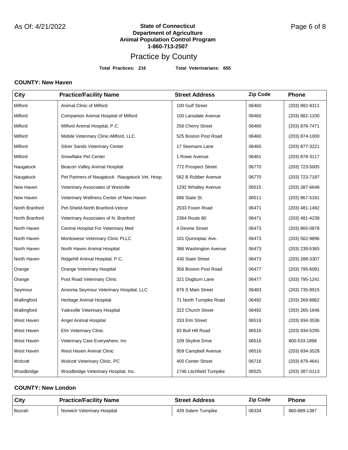**Total Practices: 216 Total Veterinarians: 655**

### **COUNTY: New Haven**

| <b>City</b>    | <b>Practice/Facility Name</b>                   | <b>Street Address</b>    | <b>Zip Code</b> | <b>Phone</b>     |
|----------------|-------------------------------------------------|--------------------------|-----------------|------------------|
| Milford        | Animal Clinic of Milford                        | 100 Gulf Street          | 06460           | (203) 882-8311   |
| Milford        | Companion Animal Hospital of Milford            | 100 Lansdale Avenue      | 06460           | (203) 882-1100   |
| Milford        | Milford Animal Hospital, P.C.                   | 256 Cherry Street        | 06460           | (203) 878-7471   |
| Milford        | Mobile Veterinary Clinic-Milford, LLC           | 525 Boston Post Road     | 06460           | $(203)$ 874-1000 |
| Milford        | <b>Silver Sands Veterinary Center</b>           | 17 Seemans Lane          | 06460           | (203) 877-3221   |
| Milford        | Snowflake Pet Center                            | 1 Rowe Avenue            | 06461           | (203) 878-3117   |
| Naugatuck      | Beacon Valley Animal Hospital                   | 772 Prospect Street      | 06770           | (203) 723-5005   |
| Naugatuck      | Pet Partners of Naugatuck /Naugatuck Vet. Hosp. | 562 B Rubber Avenue      | 06770           | (203) 723-7187   |
| New Haven      | Veterinary Associates of Westville              | 1292 Whalley Avenue      | 06515           | $(203)$ 387-6648 |
| New Haven      | Veterinary Wellness Center of New Haven         | 686 State St.            | 06511           | (203) 867-5181   |
| North Branford | Pet-Shield-North Branford-Vetcor                | 2033 Foxon Road          | 06471           | (203) 481-1492   |
| North Branford | Veterinary Associates of N. Branford            | 2364 Route 80            | 06471           | (203) 481-4238   |
| North Haven    | Central Hospital For Veterinary Med             | 4 Devine Street          | 06473           | (203) 865-0878   |
| North Haven    | Montowese Veterinary Clinic PLLC                | 101 Quinnipiac Ave.      | 06473           | (203) 562-9896   |
| North Haven    | North Haven Animal Hospital                     | 386 Washington Avenue    | 06473           | (203) 239-5365   |
| North Haven    | Ridgehill Animal Hospital, P.C.                 | 430 State Street         | 06473           | (203) 288-3307   |
| Orange         | Orange Veterinary Hospital                      | 356 Boston Post Road     | 06477           | (203) 795-6091   |
| Orange         | Post Road Veterinary Clinic                     | 321 Dogburn Lane         | 06477           | (203) 795-1241   |
| Seymour        | Ansonia Seymour Veterinary Hospital, LLC        | 876 S Main Street        | 06483           | (203) 735-9915   |
| Wallingford    | Heritage Animal Hospital                        | 71 North Turnpike Road   | 06492           | (203) 269-8862   |
| Wallingford    | Yalesville Veterinary Hospital                  | 322 Church Street        | 06492           | $(203)$ 265-1646 |
| West Haven     | Angel Animal Hospital                           | 333 Elm Street           | 06516           | (203) 934-3536   |
| West Haven     | <b>Elm Veterinary Clinic</b>                    | 93 Bull Hill Road        | 06516           | (203) 934-5295   |
| West Haven     | Veterinary Care Everywhere, Inc.                | 109 Skyline Drive        | 06516           | 800-533-1898     |
| West Haven     | West Haven Animal Clinic                        | 959 Campbell Avenue      | 06516           | (203) 934-3528   |
| Wolcott        | <b>Wolcott Veterinary Clinic, PC</b>            | 400 Center Street        | 06716           | (203) 879-4641   |
| Woodbridge     | Woodbridge Veterinary Hospital, Inc.            | 1746 Litchfield Turnpike | 06525           | (203) 387-0113   |

### **COUNTY: New London**

| City   | <b>Practice/Facility Name</b> | <b>Street Address</b> | <b>Zip Code</b> | <b>Phone</b> |
|--------|-------------------------------|-----------------------|-----------------|--------------|
| Bozrah | Norwich Veterinary Hospital   | 439 Salem Turnpike    | 06334           | 860-889-1387 |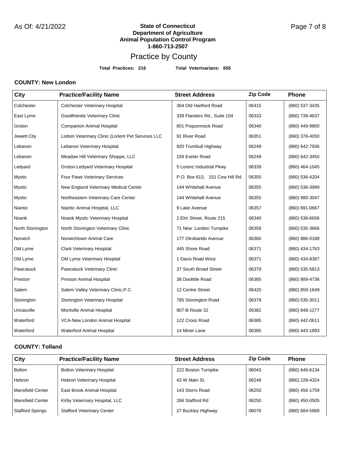**Total Practices: 216 Total Veterinarians: 655**

### **COUNTY: New London**

| City             | <b>Practice/Facility Name</b>                      | <b>Street Address</b>          | <b>Zip Code</b> | Phone          |
|------------------|----------------------------------------------------|--------------------------------|-----------------|----------------|
| Colchester       | Colchester Veterinary Hospital                     | 364 Old Hartford Road          | 06415           | (860) 537-3435 |
| East Lyme        | Goodfriends Veterinary Clinic                      | 339 Flanders Rd., Suite 104    | 06333           | (860) 739-4637 |
| Groton           | <b>Companion Animal Hospital</b>                   | 801 Poquonnock Road            | 06340           | (860) 449-9800 |
| Jewett City      | Lisbon Veterinary Clinic (Lorient Pet Services LLC | 91 River Road                  | 06351           | (860) 376-4050 |
| Lebanon          | Lebanon Veterinary Hospital                        | 920 Trumbull Highway           | 06249           | (860) 642-7936 |
| Lebanon          | Meadow Hill Veterinary Shoppe, LLC                 | 159 Exeter Road                | 06249           | (860) 642-3450 |
| Ledyard          | Groton-Ledyard Veterinary Hospital                 | 5 Lorenz Industrial Pkwy       | 06339           | (860) 464-1045 |
| <b>Mystic</b>    | Four Paws Veterinary Services                      | P.O. Box 613, 151 Cow Hill Rd. | 06355           | (860) 536-4204 |
| <b>Mystic</b>    | New England Veterinary Medical Center              | 144 Whitehall Avenue           | 06355           | (860) 536-3999 |
| Mystic           | Northeastern Veterinary Care Center                | 144 Whitehall Avenue           | 06355           | (860) 980-3047 |
| Niantic          | Niantic Animal Hospital, LLC                       | 9 Lake Avenue                  | 06357           | (860) 691-0667 |
| Noank            | Noank Mystic Veterinary Hospital                   | 2 Elm Street, Route 215        | 06340           | (860) 536-6656 |
| North Stonington | North Stonington Veterinary Clinic                 | 71 New London Turnpike         | 06359           | (860) 535-3666 |
| Norwich          | Norwichtown Animal Care                            | 177 Otrobando Avenue           | 06360           | (860) 886-0188 |
| Old Lyme         | <b>Clark Veterinary Hospital</b>                   | 445 Shore Road                 | 06371           | (860) 434-1763 |
| Old Lyme         | Old Lyme Veterinary Hospital                       | 1 Davis Road West              | 06371           | (860) 434-8387 |
| Pawcatuck        | Pawcatuck Veterinary Clinic                        | 37 South Broad Street          | 06379           | (860) 535-5813 |
| Preston          | Preston Animal Hospital                            | 38 Doolittle Road              | 06365           | (860) 889-4736 |
| Salem            | Salem Valley Veterinary Clinic, P.C.               | 12 Centre Street               | 06420           | (860) 859-1649 |
| Stonington       | Stonington Veterinary Hospital                     | 785 Stonington Road            | 06378           | (860) 535-3011 |
| Uncasville       | Montville Animal Hospital                          | 907-B Route 32                 | 06382           | (860) 848-1277 |
| Waterford        | VCA-New London Animal Hospital                     | 122 Cross Road                 | 06385           | (860) 442-0611 |
| Waterford        | Waterford Animal Hospital                          | 14 Miner Lane                  | 06385           | (860) 443-1893 |

### **COUNTY: Tolland**

| City                    | <b>Practice/Facility Name</b>     | <b>Street Address</b> | <b>Zip Code</b> | <b>Phone</b>   |
|-------------------------|-----------------------------------|-----------------------|-----------------|----------------|
| <b>Bolton</b>           | <b>Bolton Veterinary Hospital</b> | 222 Boston Turnpike   | 06043           | (860) 646-6134 |
| <b>Hebron</b>           | <b>Hebron Veterinary Hospital</b> | 43 W Main St.         | 06248           | (860) 228-4324 |
| Mansfield Center        | East Brook Animal Hospital        | 143 Storrs Road       | 06250           | (860) 456-1759 |
| <b>Mansfield Center</b> | Kirby Veterinary Hospital, LLC    | 266 Stafford Rd       | 06250           | (860) 450-0505 |
| <b>Stafford Springs</b> | <b>Stafford Veterinary Center</b> | 27 Buckley Highway    | 06076           | (860) 684-5868 |